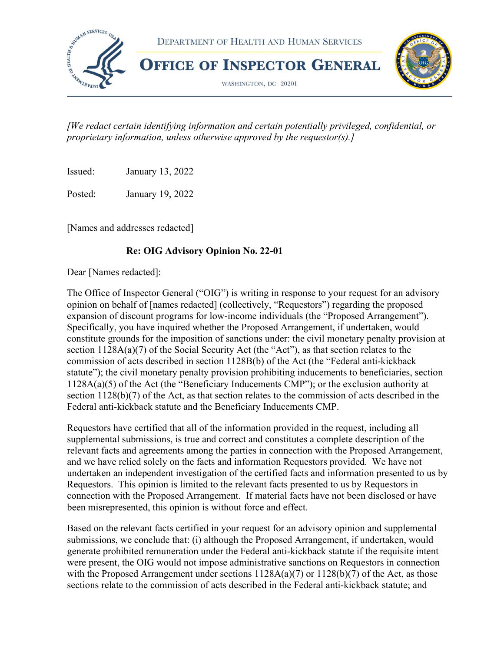

 [We redact certain identifying information and certain potentially privileged, confidential, or proprietary information, unless otherwise approved by the requestor(s).]

Issued: January 13, 2022

Posted: January 19, 2022

[Names and addresses redacted]

#### Re: OIG Advisory Opinion No. 22-01

Dear [Names redacted]:

 The Office of Inspector General ("OIG") is writing in response to your request for an advisory opinion on behalf of [names redacted] (collectively, "Requestors") regarding the proposed expansion of discount programs for low-income individuals (the "Proposed Arrangement"). Specifically, you have inquired whether the Proposed Arrangement, if undertaken, would constitute grounds for the imposition of sanctions under: the civil monetary penalty provision at section 1128A(a)(7) of the Social Security Act (the "Act"), as that section relates to the commission of acts described in section 1128B(b) of the Act (the "Federal anti-kickback statute"); the civil monetary penalty provision prohibiting inducements to beneficiaries, section 1128A(a)(5) of the Act (the "Beneficiary Inducements CMP"); or the exclusion authority at section 1128(b)(7) of the Act, as that section relates to the commission of acts described in the Federal anti-kickback statute and the Beneficiary Inducements CMP.

 Requestors have certified that all of the information provided in the request, including all supplemental submissions, is true and correct and constitutes a complete description of the relevant facts and agreements among the parties in connection with the Proposed Arrangement, and we have relied solely on the facts and information Requestors provided. We have not undertaken an independent investigation of the certified facts and information presented to us by Requestors. This opinion is limited to the relevant facts presented to us by Requestors in connection with the Proposed Arrangement. If material facts have not been disclosed or have been misrepresented, this opinion is without force and effect.

 Based on the relevant facts certified in your request for an advisory opinion and supplemental submissions, we conclude that: (i) although the Proposed Arrangement, if undertaken, would generate prohibited remuneration under the Federal anti-kickback statute if the requisite intent were present, the OIG would not impose administrative sanctions on Requestors in connection with the Proposed Arrangement under sections  $1128A(a)(7)$  or  $1128(b)(7)$  of the Act, as those sections relate to the commission of acts described in the Federal anti-kickback statute; and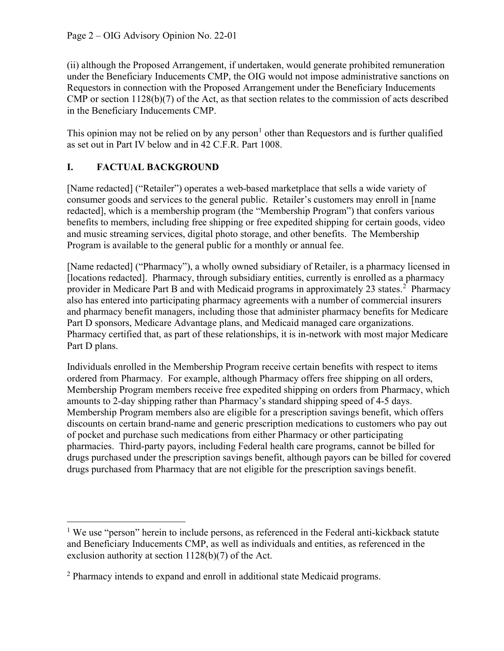(ii) although the Proposed Arrangement, if undertaken, would generate prohibited remuneration under the Beneficiary Inducements CMP, the OIG would not impose administrative sanctions on Requestors in connection with the Proposed Arrangement under the Beneficiary Inducements CMP or section 1128(b)(7) of the Act, as that section relates to the commission of acts described in the Beneficiary Inducements CMP.

This opinion may not be relied on by any person<sup>1</sup> other than Requestors and is further qualified as set out in Part IV below and in 42 C.F.R. Part 1008.

## I. FACTUAL BACKGROUND

 [Name redacted] ("Retailer") operates a web-based marketplace that sells a wide variety of consumer goods and services to the general public. Retailer's customers may enroll in [name redacted], which is a membership program (the "Membership Program") that confers various benefits to members, including free shipping or free expedited shipping for certain goods, video and music streaming services, digital photo storage, and other benefits. The Membership Program is available to the general public for a monthly or annual fee.

 [Name redacted] ("Pharmacy"), a wholly owned subsidiary of Retailer, is a pharmacy licensed in [locations redacted]. Pharmacy, through subsidiary entities, currently is enrolled as a pharmacy provider in Medicare Part B and with Medicaid programs in approximately 23 states.<sup>2</sup> Pharmacy also has entered into participating pharmacy agreements with a number of commercial insurers and pharmacy benefit managers, including those that administer pharmacy benefits for Medicare Part D sponsors, Medicare Advantage plans, and Medicaid managed care organizations. Pharmacy certified that, as part of these relationships, it is in-network with most major Medicare Part D plans.

 Individuals enrolled in the Membership Program receive certain benefits with respect to items ordered from Pharmacy. For example, although Pharmacy offers free shipping on all orders, Membership Program members receive free expedited shipping on orders from Pharmacy, which amounts to 2-day shipping rather than Pharmacy's standard shipping speed of 4-5 days. Membership Program members also are eligible for a prescription savings benefit, which offers discounts on certain brand-name and generic prescription medications to customers who pay out of pocket and purchase such medications from either Pharmacy or other participating pharmacies. Third-party payors, including Federal health care programs, cannot be billed for drugs purchased under the prescription savings benefit, although payors can be billed for covered drugs purchased from Pharmacy that are not eligible for the prescription savings benefit.

 $1$  We use "person" herein to include persons, as referenced in the Federal anti-kickback statute and Beneficiary Inducements CMP, as well as individuals and entities, as referenced in the exclusion authority at section 1128(b)(7) of the Act.

 $2$  Pharmacy intends to expand and enroll in additional state Medicaid programs.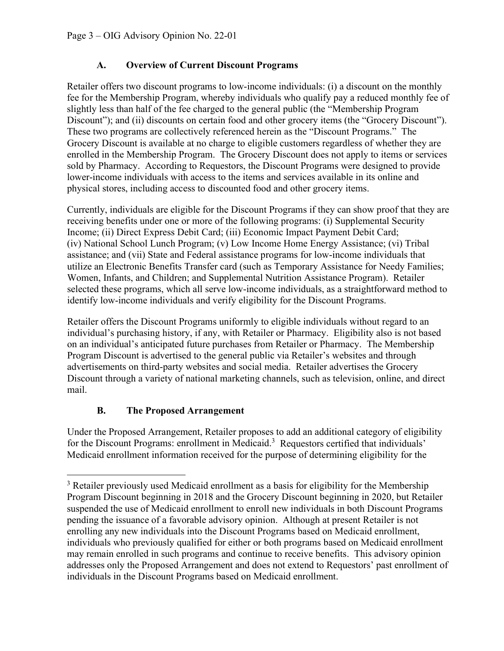#### A. Overview of Current Discount Programs

 Retailer offers two discount programs to low-income individuals: (i) a discount on the monthly fee for the Membership Program, whereby individuals who qualify pay a reduced monthly fee of slightly less than half of the fee charged to the general public (the "Membership Program Discount"); and (ii) discounts on certain food and other grocery items (the "Grocery Discount"). These two programs are collectively referenced herein as the "Discount Programs." The Grocery Discount is available at no charge to eligible customers regardless of whether they are enrolled in the Membership Program. The Grocery Discount does not apply to items or services sold by Pharmacy. According to Requestors, the Discount Programs were designed to provide lower-income individuals with access to the items and services available in its online and physical stores, including access to discounted food and other grocery items.

 Currently, individuals are eligible for the Discount Programs if they can show proof that they are receiving benefits under one or more of the following programs: (i) Supplemental Security Income; (ii) Direct Express Debit Card; (iii) Economic Impact Payment Debit Card; (iv) National School Lunch Program; (v) Low Income Home Energy Assistance; (vi) Tribal assistance; and (vii) State and Federal assistance programs for low-income individuals that utilize an Electronic Benefits Transfer card (such as Temporary Assistance for Needy Families; Women, Infants, and Children; and Supplemental Nutrition Assistance Program). Retailer selected these programs, which all serve low-income individuals, as a straightforward method to identify low-income individuals and verify eligibility for the Discount Programs.

 Retailer offers the Discount Programs uniformly to eligible individuals without regard to an individual's purchasing history, if any, with Retailer or Pharmacy. Eligibility also is not based on an individual's anticipated future purchases from Retailer or Pharmacy. The Membership Program Discount is advertised to the general public via Retailer's websites and through advertisements on third-party websites and social media. Retailer advertises the Grocery Discount through a variety of national marketing channels, such as television, online, and direct mail.

### B. The Proposed Arrangement

 Under the Proposed Arrangement, Retailer proposes to add an additional category of eligibility for the Discount Programs: enrollment in Medicaid. $3$  Requestors certified that individuals' Medicaid enrollment information received for the purpose of determining eligibility for the

 $3$  Retailer previously used Medicaid enrollment as a basis for eligibility for the Membership Program Discount beginning in 2018 and the Grocery Discount beginning in 2020, but Retailer suspended the use of Medicaid enrollment to enroll new individuals in both Discount Programs pending the issuance of a favorable advisory opinion. Although at present Retailer is not enrolling any new individuals into the Discount Programs based on Medicaid enrollment, individuals who previously qualified for either or both programs based on Medicaid enrollment may remain enrolled in such programs and continue to receive benefits. This advisory opinion addresses only the Proposed Arrangement and does not extend to Requestors' past enrollment of individuals in the Discount Programs based on Medicaid enrollment.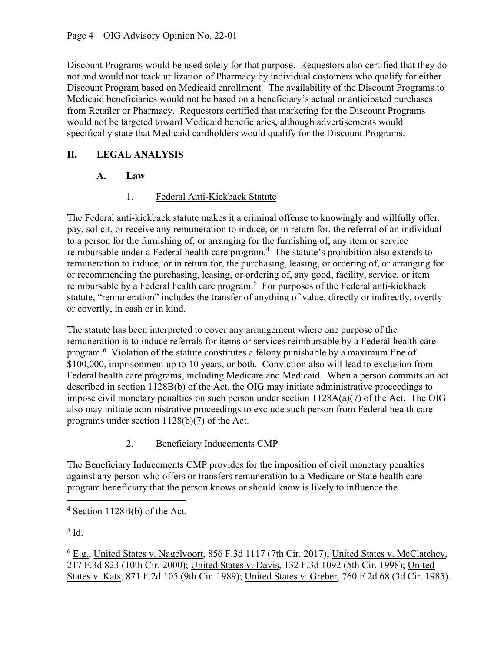Discount Programs would be used solely for that purpose. Requestors also certified that they do not and would not track utilization of Pharmacy by individual customers who qualify for either Discount Program based on Medicaid enrollment. The availability of the Discount Programs to Medicaid beneficiaries would not be based on a beneficiary's actual or anticipated purchases from Retailer or Pharmacy. Requestors certified that marketing for the Discount Programs would not be targeted toward Medicaid beneficiaries, although advertisements would specifically state that Medicaid cardholders would qualify for the Discount Programs.

# II. LEGAL ANALYSIS

# A. Law

## 1. Federal Anti-Kickback Statute

 The Federal anti-kickback statute makes it a criminal offense to knowingly and willfully offer, pay, solicit, or receive any remuneration to induce, or in return for, the referral of an individual to a person for the furnishing of, or arranging for the furnishing of, any item or service reimbursable under a Federal health care program.<sup>4</sup> The statute's prohibition also extends to remuneration to induce, or in return for, the purchasing, leasing, or ordering of, or arranging for or recommending the purchasing, leasing, or ordering of, any good, facility, service, or item reimbursable by a Federal health care program.<sup>5</sup> For purposes of the Federal anti-kickback statute, "remuneration" includes the transfer of anything of value, directly or indirectly, overtly or covertly, in cash or in kind.

 The statute has been interpreted to cover any arrangement where one purpose of the remuneration is to induce referrals for items or services reimbursable by a Federal health care program.<sup>6</sup> Violation of the statute constitutes a felony punishable by a maximum fine of \$100,000, imprisonment up to 10 years, or both. Conviction also will lead to exclusion from Federal health care programs, including Medicare and Medicaid. When a person commits an act described in section 1128B(b) of the Act, the OIG may initiate administrative proceedings to impose civil monetary penalties on such person under section 1128A(a)(7) of the Act. The OIG also may initiate administrative proceedings to exclude such person from Federal health care programs under section 1128(b)(7) of the Act.

### 2. Beneficiary Inducements CMP

 The Beneficiary Inducements CMP provides for the imposition of civil monetary penalties against any person who offers or transfers remuneration to a Medicare or State health care program beneficiary that the person knows or should know is likely to influence the

 $^5$  Id.

<sup>6</sup> E.g., United States v. Nagelvoort, 856 F.3d 1117 (7th Cir. 2017); United States v. McClatchey, 217 F.3d 823 (10th Cir. 2000); United States v. Davis, 132 F.3d 1092 (5th Cir. 1998); United States v. Kats, 871 F.2d 105 (9th Cir. 1989); United States v. Greber, 760 F.2d 68 (3d Cir. 1985).

 $4$  Section 1128B(b) of the Act.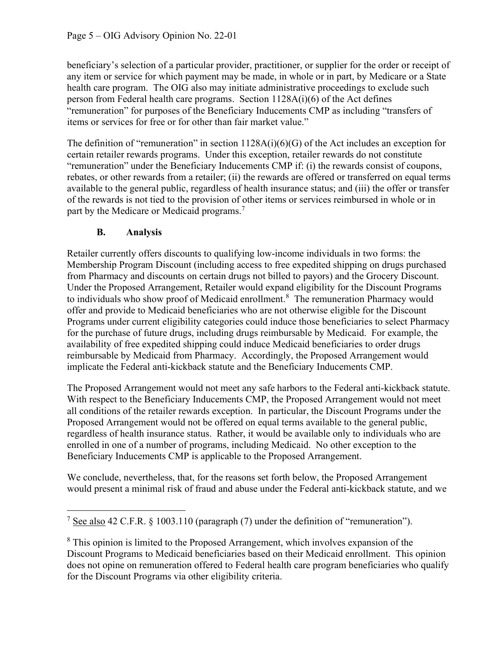beneficiary's selection of a particular provider, practitioner, or supplier for the order or receipt of any item or service for which payment may be made, in whole or in part, by Medicare or a State health care program. The OIG also may initiate administrative proceedings to exclude such person from Federal health care programs. Section 1128A(i)(6) of the Act defines "remuneration" for purposes of the Beneficiary Inducements CMP as including "transfers of items or services for free or for other than fair market value."

 The definition of "remuneration" in section 1128A(i)(6)(G) of the Act includes an exception for certain retailer rewards programs. Under this exception, retailer rewards do not constitute "remuneration" under the Beneficiary Inducements CMP if: (i) the rewards consist of coupons, rebates, or other rewards from a retailer; (ii) the rewards are offered or transferred on equal terms available to the general public, regardless of health insurance status; and (iii) the offer or transfer of the rewards is not tied to the provision of other items or services reimbursed in whole or in part by the Medicare or Medicaid programs.<sup>7</sup>

## B. Analysis

 Retailer currently offers discounts to qualifying low-income individuals in two forms: the Membership Program Discount (including access to free expedited shipping on drugs purchased from Pharmacy and discounts on certain drugs not billed to payors) and the Grocery Discount. Under the Proposed Arrangement, Retailer would expand eligibility for the Discount Programs to individuals who show proof of Medicaid enrollment.<sup>8</sup> The remuneration Pharmacy would offer and provide to Medicaid beneficiaries who are not otherwise eligible for the Discount Programs under current eligibility categories could induce those beneficiaries to select Pharmacy for the purchase of future drugs, including drugs reimbursable by Medicaid. For example, the availability of free expedited shipping could induce Medicaid beneficiaries to order drugs reimbursable by Medicaid from Pharmacy. Accordingly, the Proposed Arrangement would implicate the Federal anti-kickback statute and the Beneficiary Inducements CMP.

 The Proposed Arrangement would not meet any safe harbors to the Federal anti-kickback statute. With respect to the Beneficiary Inducements CMP, the Proposed Arrangement would not meet all conditions of the retailer rewards exception. In particular, the Discount Programs under the Proposed Arrangement would not be offered on equal terms available to the general public, regardless of health insurance status. Rather, it would be available only to individuals who are enrolled in one of a number of programs, including Medicaid. No other exception to the Beneficiary Inducements CMP is applicable to the Proposed Arrangement.

 We conclude, nevertheless, that, for the reasons set forth below, the Proposed Arrangement would present a minimal risk of fraud and abuse under the Federal anti-kickback statute, and we

 $8$  This opinion is limited to the Proposed Arrangement, which involves expansion of the Discount Programs to Medicaid beneficiaries based on their Medicaid enrollment. This opinion does not opine on remuneration offered to Federal health care program beneficiaries who qualify for the Discount Programs via other eligibility criteria.

 $7 \text{ See also } 42 \text{ C.F.R. }$  § 1003.110 (paragraph (7) under the definition of "remuneration").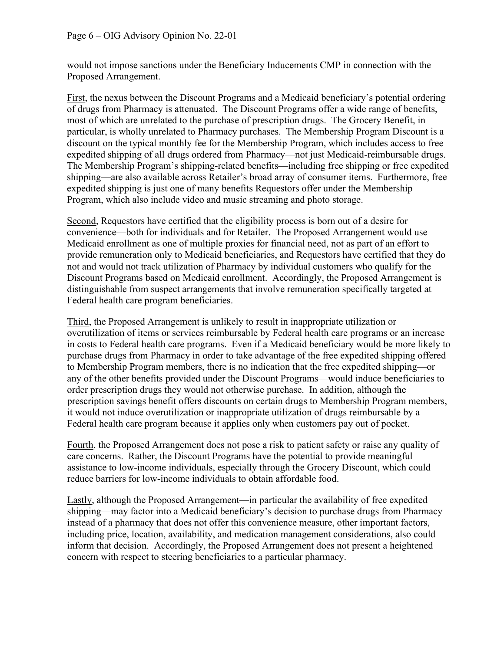would not impose sanctions under the Beneficiary Inducements CMP in connection with the Proposed Arrangement.

First, the nexus between the Discount Programs and a Medicaid beneficiary's potential ordering of drugs from Pharmacy is attenuated. The Discount Programs offer a wide range of benefits, most of which are unrelated to the purchase of prescription drugs. The Grocery Benefit, in particular, is wholly unrelated to Pharmacy purchases. The Membership Program Discount is a discount on the typical monthly fee for the Membership Program, which includes access to free expedited shipping of all drugs ordered from Pharmacy—not just Medicaid-reimbursable drugs. The Membership Program's shipping-related benefits—including free shipping or free expedited shipping—are also available across Retailer's broad array of consumer items. Furthermore, free expedited shipping is just one of many benefits Requestors offer under the Membership Program, which also include video and music streaming and photo storage.

Second, Requestors have certified that the eligibility process is born out of a desire for convenience—both for individuals and for Retailer. The Proposed Arrangement would use Medicaid enrollment as one of multiple proxies for financial need, not as part of an effort to provide remuneration only to Medicaid beneficiaries, and Requestors have certified that they do not and would not track utilization of Pharmacy by individual customers who qualify for the Discount Programs based on Medicaid enrollment. Accordingly, the Proposed Arrangement is distinguishable from suspect arrangements that involve remuneration specifically targeted at Federal health care program beneficiaries.

Third, the Proposed Arrangement is unlikely to result in inappropriate utilization or overutilization of items or services reimbursable by Federal health care programs or an increase in costs to Federal health care programs. Even if a Medicaid beneficiary would be more likely to purchase drugs from Pharmacy in order to take advantage of the free expedited shipping offered to Membership Program members, there is no indication that the free expedited shipping—or any of the other benefits provided under the Discount Programs—would induce beneficiaries to order prescription drugs they would not otherwise purchase. In addition, although the prescription savings benefit offers discounts on certain drugs to Membership Program members, it would not induce overutilization or inappropriate utilization of drugs reimbursable by a Federal health care program because it applies only when customers pay out of pocket.

 Fourth, the Proposed Arrangement does not pose a risk to patient safety or raise any quality of care concerns. Rather, the Discount Programs have the potential to provide meaningful assistance to low-income individuals, especially through the Grocery Discount, which could reduce barriers for low-income individuals to obtain affordable food.

Lastly, although the Proposed Arrangement—in particular the availability of free expedited shipping—may factor into a Medicaid beneficiary's decision to purchase drugs from Pharmacy instead of a pharmacy that does not offer this convenience measure, other important factors, including price, location, availability, and medication management considerations, also could inform that decision. Accordingly, the Proposed Arrangement does not present a heightened concern with respect to steering beneficiaries to a particular pharmacy.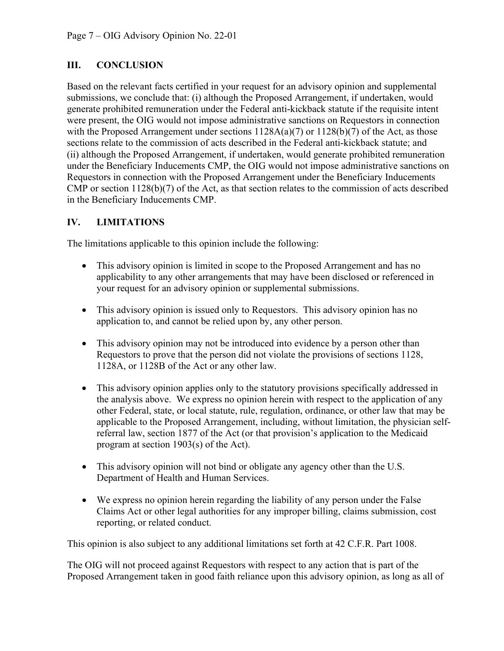### III. CONCLUSION

 Based on the relevant facts certified in your request for an advisory opinion and supplemental submissions, we conclude that: (i) although the Proposed Arrangement, if undertaken, would generate prohibited remuneration under the Federal anti-kickback statute if the requisite intent were present, the OIG would not impose administrative sanctions on Requestors in connection with the Proposed Arrangement under sections  $1128A(a)(7)$  or  $1128(b)(7)$  of the Act, as those sections relate to the commission of acts described in the Federal anti-kickback statute; and (ii) although the Proposed Arrangement, if undertaken, would generate prohibited remuneration under the Beneficiary Inducements CMP, the OIG would not impose administrative sanctions on Requestors in connection with the Proposed Arrangement under the Beneficiary Inducements CMP or section 1128(b)(7) of the Act, as that section relates to the commission of acts described in the Beneficiary Inducements CMP.

#### IV. LIMITATIONS

The limitations applicable to this opinion include the following:

- This advisory opinion is limited in scope to the Proposed Arrangement and has no applicability to any other arrangements that may have been disclosed or referenced in your request for an advisory opinion or supplemental submissions.
- This advisory opinion is issued only to Requestors. This advisory opinion has no application to, and cannot be relied upon by, any other person.
- This advisory opinion may not be introduced into evidence by a person other than Requestors to prove that the person did not violate the provisions of sections 1128, 1128A, or 1128B of the Act or any other law.
- This advisory opinion applies only to the statutory provisions specifically addressed in the analysis above. We express no opinion herein with respect to the application of any other Federal, state, or local statute, rule, regulation, ordinance, or other law that may be applicable to the Proposed Arrangement, including, without limitation, the physician self- referral law, section 1877 of the Act (or that provision's application to the Medicaid program at section 1903(s) of the Act).
- This advisory opinion will not bind or obligate any agency other than the U.S. Department of Health and Human Services.
- We express no opinion herein regarding the liability of any person under the False Claims Act or other legal authorities for any improper billing, claims submission, cost reporting, or related conduct.

This opinion is also subject to any additional limitations set forth at 42 C.F.R. Part 1008.

 The OIG will not proceed against Requestors with respect to any action that is part of the Proposed Arrangement taken in good faith reliance upon this advisory opinion, as long as all of